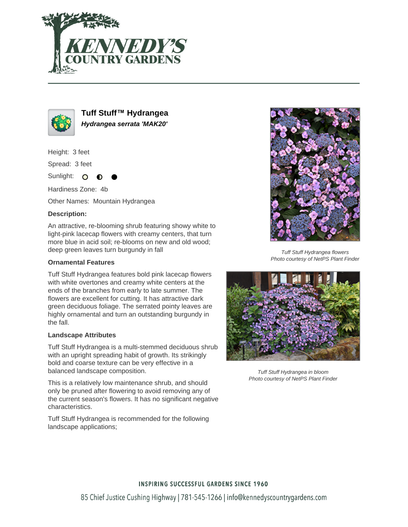



**Tuff Stuff™ Hydrangea Hydrangea serrata 'MAK20'**

Height: 3 feet

Spread: 3 feet

Sunlight: O

Hardiness Zone: 4b

Other Names: Mountain Hydrangea

## **Description:**

An attractive, re-blooming shrub featuring showy white to light-pink lacecap flowers with creamy centers, that turn more blue in acid soil; re-blooms on new and old wood; deep green leaves turn burgundy in fall

### **Ornamental Features**

Tuff Stuff Hydrangea features bold pink lacecap flowers with white overtones and creamy white centers at the ends of the branches from early to late summer. The flowers are excellent for cutting. It has attractive dark green deciduous foliage. The serrated pointy leaves are highly ornamental and turn an outstanding burgundy in the fall.

### **Landscape Attributes**

Tuff Stuff Hydrangea is a multi-stemmed deciduous shrub with an upright spreading habit of growth. Its strikingly bold and coarse texture can be very effective in a balanced landscape composition.

This is a relatively low maintenance shrub, and should only be pruned after flowering to avoid removing any of the current season's flowers. It has no significant negative characteristics.

Tuff Stuff Hydrangea is recommended for the following landscape applications;



Tuff Stuff Hydrangea flowers Photo courtesy of NetPS Plant Finder



Tuff Stuff Hydrangea in bloom Photo courtesy of NetPS Plant Finder

# **INSPIRING SUCCESSFUL GARDENS SINCE 1960**